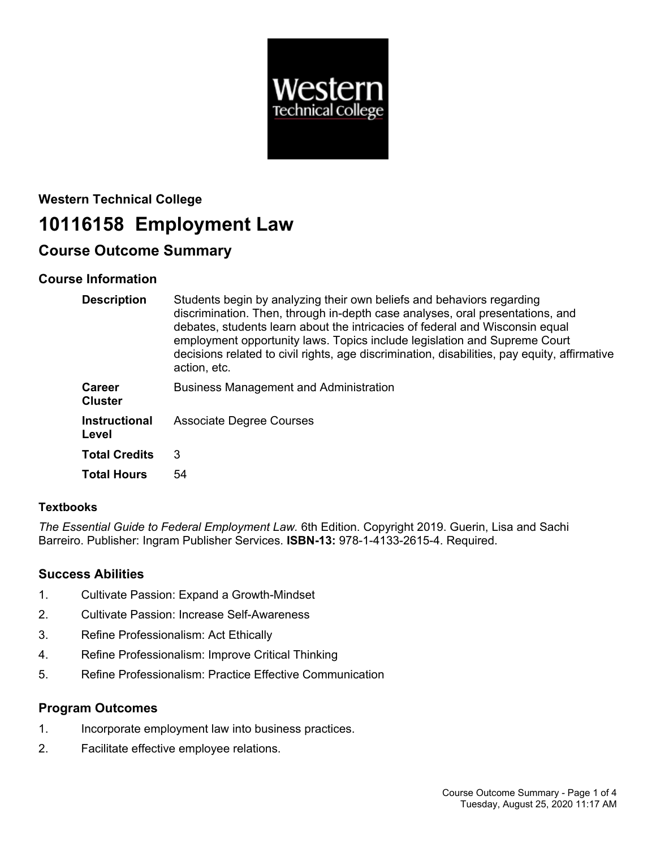

# **Western Technical College 10116158 Employment Law**

## **Course Outcome Summary**

## **Course Information**

| <b>Description</b>              | Students begin by analyzing their own beliefs and behaviors regarding<br>discrimination. Then, through in-depth case analyses, oral presentations, and<br>debates, students learn about the intricacies of federal and Wisconsin equal<br>employment opportunity laws. Topics include legislation and Supreme Court<br>decisions related to civil rights, age discrimination, disabilities, pay equity, affirmative<br>action, etc. |
|---------------------------------|-------------------------------------------------------------------------------------------------------------------------------------------------------------------------------------------------------------------------------------------------------------------------------------------------------------------------------------------------------------------------------------------------------------------------------------|
| <b>Career</b><br><b>Cluster</b> | <b>Business Management and Administration</b>                                                                                                                                                                                                                                                                                                                                                                                       |
| <b>Instructional</b><br>Level   | <b>Associate Degree Courses</b>                                                                                                                                                                                                                                                                                                                                                                                                     |
| <b>Total Credits</b>            | 3                                                                                                                                                                                                                                                                                                                                                                                                                                   |
| <b>Total Hours</b>              | 54                                                                                                                                                                                                                                                                                                                                                                                                                                  |

## **Textbooks**

*The Essential Guide to Federal Employment Law.* 6th Edition. Copyright 2019. Guerin, Lisa and Sachi Barreiro. Publisher: Ingram Publisher Services. **ISBN-13:** 978-1-4133-2615-4. Required.

## **Success Abilities**

- 1. Cultivate Passion: Expand a Growth-Mindset
- 2. Cultivate Passion: Increase Self-Awareness
- 3. Refine Professionalism: Act Ethically
- 4. Refine Professionalism: Improve Critical Thinking
- 5. Refine Professionalism: Practice Effective Communication

## **Program Outcomes**

- 1. Incorporate employment law into business practices.
- 2. Facilitate effective employee relations.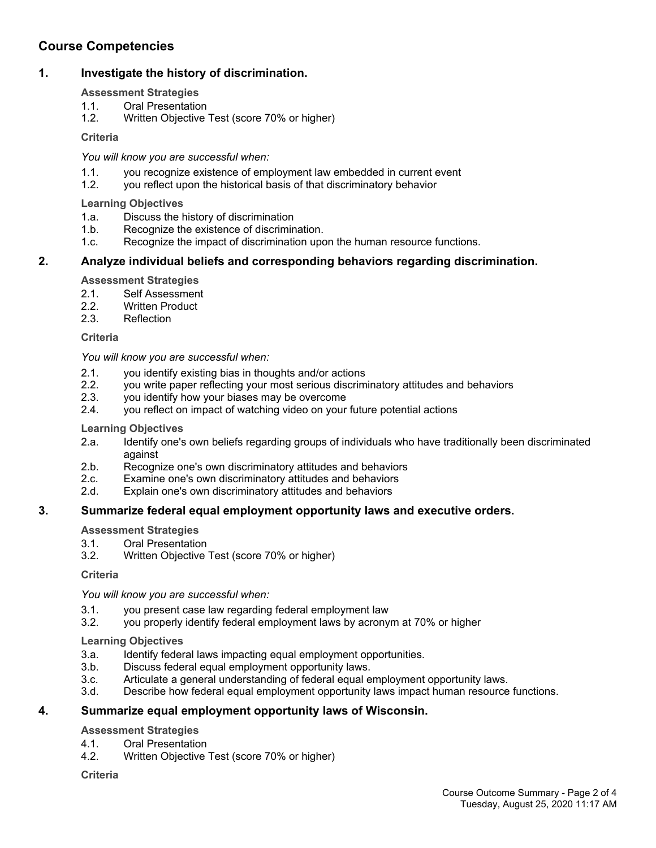## **Course Competencies**

## **1. Investigate the history of discrimination.**

#### **Assessment Strategies**

- 1.1. Oral Presentation<br>1.2. Written Obiective
- Written Objective Test (score 70% or higher)

## **Criteria**

## *You will know you are successful when:*

- 1.1. you recognize existence of employment law embedded in current event
- 1.2. you reflect upon the historical basis of that discriminatory behavior

## **Learning Objectives**

- 1.a. Discuss the history of discrimination
- 1.b. Recognize the existence of discrimination.
- 1.c. Recognize the impact of discrimination upon the human resource functions.

## **2. Analyze individual beliefs and corresponding behaviors regarding discrimination.**

#### **Assessment Strategies**

- 2.1. Self Assessment
- 2.2. Written Product<br>2.3. Reflection
- Reflection

## **Criteria**

*You will know you are successful when:*

- 2.1. you identify existing bias in thoughts and/or actions
- 2.2. you write paper reflecting your most serious discriminatory attitudes and behaviors 2.3. vou identify how your biases may be overcome
- you identify how your biases may be overcome
- 2.4. you reflect on impact of watching video on your future potential actions

## **Learning Objectives**

- 2.a. Identify one's own beliefs regarding groups of individuals who have traditionally been discriminated against
- 2.b. Recognize one's own discriminatory attitudes and behaviors
- 2.c. Examine one's own discriminatory attitudes and behaviors
- 2.d. Explain one's own discriminatory attitudes and behaviors

## **3. Summarize federal equal employment opportunity laws and executive orders.**

#### **Assessment Strategies**

- 3.1. Oral Presentation
- 3.2. Written Objective Test (score 70% or higher)

#### **Criteria**

*You will know you are successful when:*

- 3.1. you present case law regarding federal employment law
- 3.2. you properly identify federal employment laws by acronym at 70% or higher

## **Learning Objectives**

- 3.a. Identify federal laws impacting equal employment opportunities.
- 3.b. Discuss federal equal employment opportunity laws.
- 3.c. Articulate a general understanding of federal equal employment opportunity laws.
- 3.d. Describe how federal equal employment opportunity laws impact human resource functions.

## **4. Summarize equal employment opportunity laws of Wisconsin.**

**Assessment Strategies**

- 4.1. Oral Presentation
- 4.2. Written Objective Test (score 70% or higher)

**Criteria**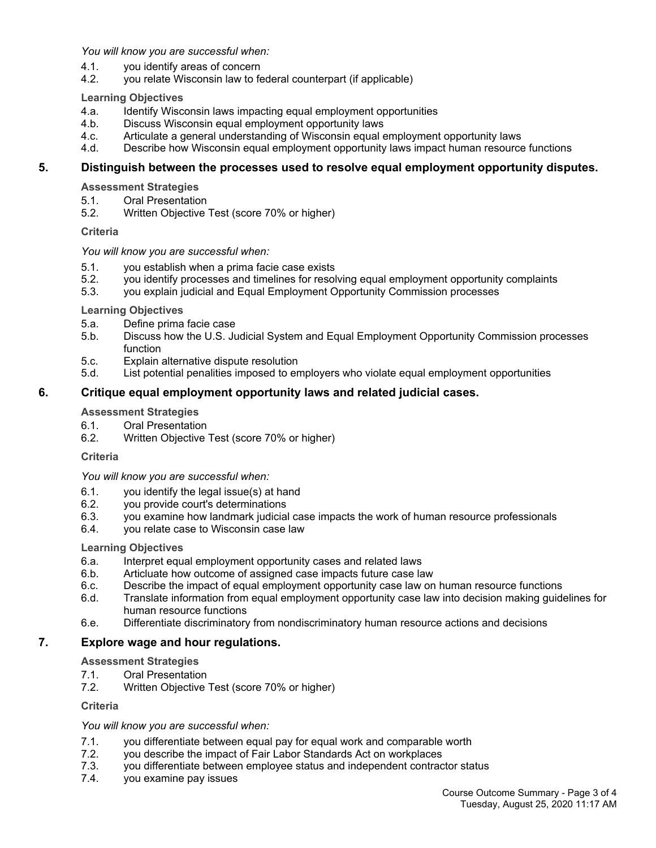*You will know you are successful when:*

- 4.1. you identify areas of concern
- 4.2. you relate Wisconsin law to federal counterpart (if applicable)

**Learning Objectives**

- 4.a. Identify Wisconsin laws impacting equal employment opportunities
- 4.b. Discuss Wisconsin equal employment opportunity laws
- 4.c. Articulate a general understanding of Wisconsin equal employment opportunity laws
- 4.d. Describe how Wisconsin equal employment opportunity laws impact human resource functions

#### **5. Distinguish between the processes used to resolve equal employment opportunity disputes.**

**Assessment Strategies**

- 5.1. Oral Presentation
- 5.2. Written Objective Test (score 70% or higher)

#### **Criteria**

*You will know you are successful when:*

- 5.1. you establish when a prima facie case exists
- 5.2. you identify processes and timelines for resolving equal employment opportunity complaints
- 5.3. you explain judicial and Equal Employment Opportunity Commission processes

#### **Learning Objectives**

- 5.a. Define prima facie case
- 5.b. Discuss how the U.S. Judicial System and Equal Employment Opportunity Commission processes function
- 5.c. Explain alternative dispute resolution
- 5.d. List potential penalities imposed to employers who violate equal employment opportunities

## **6. Critique equal employment opportunity laws and related judicial cases.**

#### **Assessment Strategies**

- 6.1. Oral Presentation
- 6.2. Written Objective Test (score 70% or higher)

#### **Criteria**

*You will know you are successful when:*

- 6.1. you identify the legal issue(s) at hand
- 6.2. you provide court's determinations
- 6.3. you examine how landmark judicial case impacts the work of human resource professionals
- 6.4. you relate case to Wisconsin case law

#### **Learning Objectives**

- 6.a. Interpret equal employment opportunity cases and related laws
- 6.b. Articluate how outcome of assigned case impacts future case law
- 6.c. Describe the impact of equal employment opportunity case law on human resource functions
- 6.d. Translate information from equal employment opportunity case law into decision making guidelines for human resource functions
- 6.e. Differentiate discriminatory from nondiscriminatory human resource actions and decisions

## **7. Explore wage and hour regulations.**

#### **Assessment Strategies**

- 7.1. Oral Presentation
- 7.2. Written Objective Test (score 70% or higher)

**Criteria**

#### *You will know you are successful when:*

- 7.1. you differentiate between equal pay for equal work and comparable worth
- 7.2. you describe the impact of Fair Labor Standards Act on workplaces
- 7.3. you differentiate between employee status and independent contractor status
- 7.4. you examine pay issues